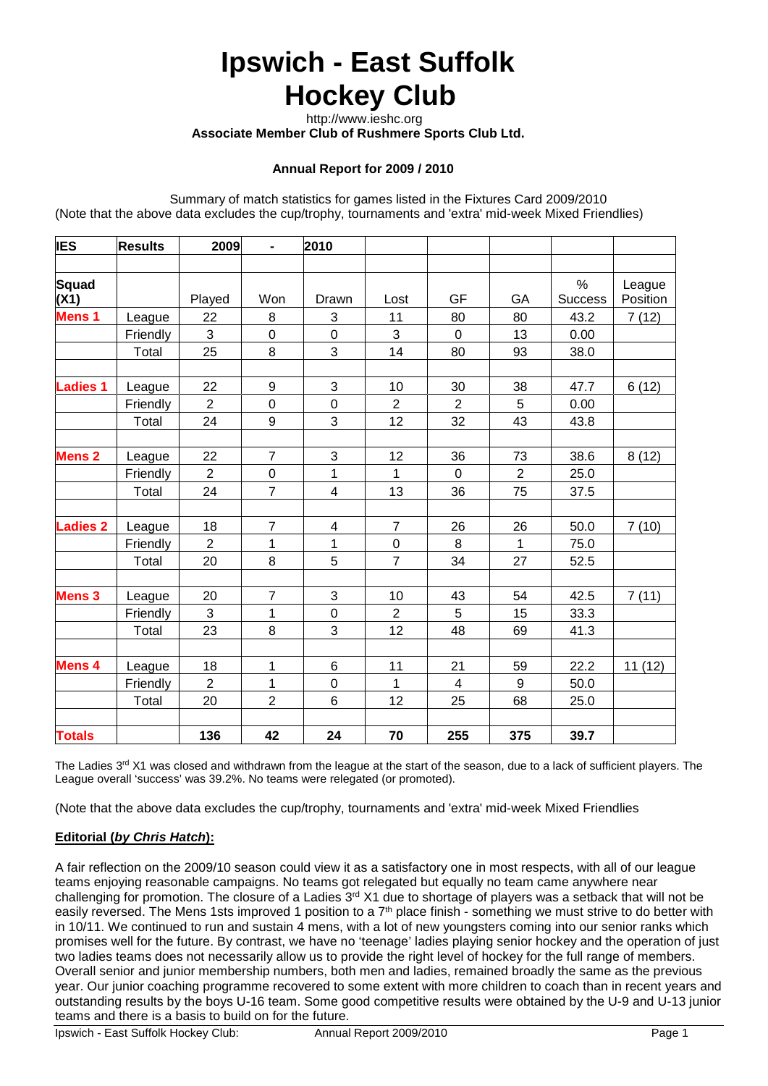# **Ipswich - East Suffolk Hockey Club**

 http://www.ieshc.org  **Associate Member Club of Rushmere Sports Club Ltd.**

### **Annual Report for 2009 / 2010**

Summary of match statistics for games listed in the Fixtures Card 2009/2010 (Note that the above data excludes the cup/trophy, tournaments and 'extra' mid-week Mixed Friendlies)

| <b>IES</b>      | <b>Results</b> | 2009           | $\blacksquare$   | 2010                    |                  |                |                |                |          |
|-----------------|----------------|----------------|------------------|-------------------------|------------------|----------------|----------------|----------------|----------|
|                 |                |                |                  |                         |                  |                |                |                |          |
| <b>Squad</b>    |                |                |                  |                         |                  |                |                | %              | League   |
| (X1)            |                | Played         | Won              | Drawn                   | Lost             | <b>GF</b>      | GA             | <b>Success</b> | Position |
| <b>Mens 1</b>   | League         | 22             | 8                | 3                       | 11               | 80             | 80             | 43.2           | 7(12)    |
|                 | Friendly       | $\overline{3}$ | $\pmb{0}$        | $\boldsymbol{0}$        | 3                | $\mathbf 0$    | 13             | 0.00           |          |
|                 | Total          | 25             | 8                | 3                       | 14               | 80             | 93             | 38.0           |          |
|                 |                |                |                  |                         |                  |                |                |                |          |
| <b>Ladies 1</b> | League         | 22             | 9                | $\mathfrak{B}$          | 10               | 30             | 38             | 47.7           | 6(12)    |
|                 | Friendly       | $\overline{2}$ | $\mathbf 0$      | $\mathsf 0$             | $\overline{2}$   | $\overline{2}$ | 5              | 0.00           |          |
|                 | Total          | 24             | $\boldsymbol{9}$ | $\sqrt{3}$              | 12               | 32             | 43             | 43.8           |          |
|                 |                |                |                  |                         |                  |                |                |                |          |
| <b>Mens 2</b>   | League         | 22             | $\overline{7}$   | 3                       | 12               | 36             | 73             | 38.6           | 8(12)    |
|                 | Friendly       | $\overline{2}$ | $\mathbf 0$      | 1                       | 1                | $\mathbf 0$    | $\overline{2}$ | 25.0           |          |
|                 | Total          | 24             | $\overline{7}$   | $\overline{\mathbf{4}}$ | 13               | 36             | 75             | 37.5           |          |
|                 |                |                |                  |                         |                  |                |                |                |          |
| <b>Ladies 2</b> | League         | 18             | $\overline{7}$   | $\overline{\mathbf{4}}$ | $\overline{7}$   | 26             | 26             | 50.0           | 7(10)    |
|                 | Friendly       | $\overline{2}$ | 1                | 1                       | $\boldsymbol{0}$ | 8              | 1              | 75.0           |          |
|                 | Total          | 20             | 8                | 5                       | $\overline{7}$   | 34             | 27             | 52.5           |          |
|                 |                |                |                  |                         |                  |                |                |                |          |
| <b>Mens 3</b>   | League         | 20             | $\overline{7}$   | $\mathfrak{S}$          | 10               | 43             | 54             | 42.5           | 7(11)    |
|                 | Friendly       | 3              | 1                | $\pmb{0}$               | $\overline{2}$   | 5              | 15             | 33.3           |          |
|                 | Total          | 23             | 8                | 3                       | 12               | 48             | 69             | 41.3           |          |
|                 |                |                |                  |                         |                  |                |                |                |          |
| <b>Mens 4</b>   | League         | 18             | 1                | 6                       | 11               | 21             | 59             | 22.2           | 11(12)   |
|                 | Friendly       | $\overline{c}$ | $\mathbf 1$      | $\pmb{0}$               | 1                | 4              | 9              | 50.0           |          |
|                 | Total          | 20             | $\overline{2}$   | 6                       | 12               | 25             | 68             | 25.0           |          |
|                 |                |                |                  |                         |                  |                |                |                |          |
| <b>Totals</b>   |                | 136            | 42               | 24                      | 70               | 255            | 375            | 39.7           |          |

The Ladies  $3<sup>rd</sup> X1$  was closed and withdrawn from the league at the start of the season, due to a lack of sufficient players. The League overall 'success' was 39.2%. No teams were relegated (or promoted).

(Note that the above data excludes the cup/trophy, tournaments and 'extra' mid-week Mixed Friendlies

#### **Editorial (***by Chris Hatch***):**

A fair reflection on the 2009/10 season could view it as a satisfactory one in most respects, with all of our league teams enjoying reasonable campaigns. No teams got relegated but equally no team came anywhere near challenging for promotion. The closure of a Ladies  $3^{rd}$  X1 due to shortage of players was a setback that will not be easily reversed. The Mens 1sts improved 1 position to a 7<sup>th</sup> place finish - something we must strive to do better with in 10/11. We continued to run and sustain 4 mens, with a lot of new youngsters coming into our senior ranks which promises well for the future. By contrast, we have no 'teenage' ladies playing senior hockey and the operation of just two ladies teams does not necessarily allow us to provide the right level of hockey for the full range of members. Overall senior and junior membership numbers, both men and ladies, remained broadly the same as the previous year. Our junior coaching programme recovered to some extent with more children to coach than in recent years and outstanding results by the boys U-16 team. Some good competitive results were obtained by the U-9 and U-13 junior teams and there is a basis to build on for the future.

Ipswich - East Suffolk Hockey Club: Annual Report 2009/2010 Page 1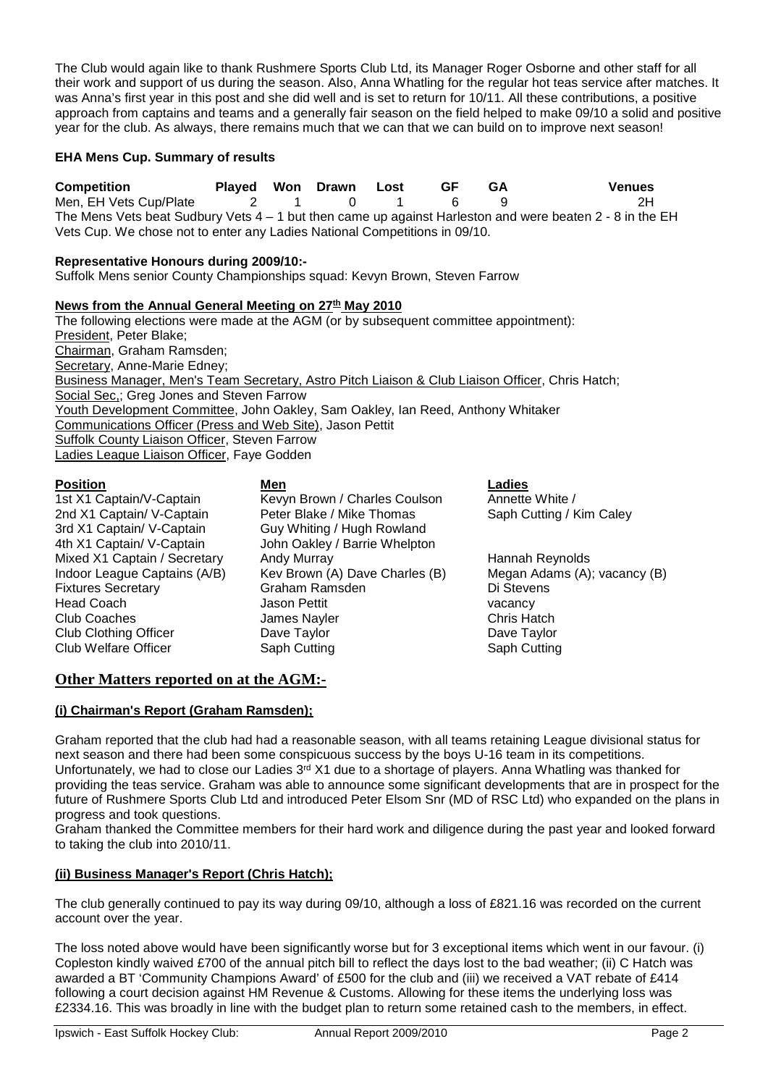The Club would again like to thank Rushmere Sports Club Ltd, its Manager Roger Osborne and other staff for all their work and support of us during the season. Also, Anna Whatling for the regular hot teas service after matches. It was Anna's first year in this post and she did well and is set to return for 10/11. All these contributions, a positive approach from captains and teams and a generally fair season on the field helped to make 09/10 a solid and positive year for the club. As always, there remains much that we can that we can build on to improve next season!

### **EHA Mens Cup. Summary of results**

**Competition Played Won Drawn Lost GF GA Venues** Men, EH Vets Cup/Plate  $\begin{array}{cccc} 2 & 1 & 0 & 1 & 6 & 9 \end{array}$  2H The Mens Vets beat Sudbury Vets 4 – 1 but then came up against Harleston and were beaten 2 - 8 in the EH Vets Cup. We chose not to enter any Ladies National Competitions in 09/10.

### **Representative Honours during 2009/10:-**

Suffolk Mens senior County Championships squad: Kevyn Brown, Steven Farrow

# News from the Annual General Meeting on 27<sup>th</sup> May 2010

The following elections were made at the AGM (or by subsequent committee appointment): President, Peter Blake; Chairman, Graham Ramsden; Secretary, Anne-Marie Edney; Business Manager, Men's Team Secretary, Astro Pitch Liaison & Club Liaison Officer, Chris Hatch; Social Sec.; Greg Jones and Steven Farrow Youth Development Committee, John Oakley, Sam Oakley, Ian Reed, Anthony Whitaker Communications Officer (Press and Web Site), Jason Pettit **Suffolk County Liaison Officer, Steven Farrow** Ladies League Liaison Officer, Faye Godden

**Position Men Ladies** 1st X1 Captain/V-Captain Kevyn Brown / Charles Coulson Annette White / 2nd X1 Captain/ V-Captain Peter Blake / Mike Thomas Saph Cutting / Kim Caley<br>3rd X1 Captain/ V-Captain Guy Whiting / Hugh Rowland Guy Whiting / Hugh Rowland 4th X1 Captain/ V-Captain John Oakley / Barrie Whelpton<br>Mixed X1 Captain / Secretary Andy Murray Mixed X1 Captain / Secretary Andy Murray Hannah Reynolds Indoor League Captains (A/B) Kev Brown (A) Dave Charles (B) Megan Adams (A); vacancy (B) Fixtures Secretary Graham Ramsden Di Stevens Head Coach Jason Pettit vacancy James Nayler Club Clothing Officer Dave Taylor Dave Taylor Club Welfare Officer Saph Cutting Saph Cutting

# **Other Matters reported on at the AGM:-**

#### **(i) Chairman's Report (Graham Ramsden);**

Graham reported that the club had had a reasonable season, with all teams retaining League divisional status for next season and there had been some conspicuous success by the boys U-16 team in its competitions. Unfortunately, we had to close our Ladies  $3<sup>rd</sup> X1$  due to a shortage of players. Anna Whatling was thanked for providing the teas service. Graham was able to announce some significant developments that are in prospect for the future of Rushmere Sports Club Ltd and introduced Peter Elsom Snr (MD of RSC Ltd) who expanded on the plans in progress and took questions.

Graham thanked the Committee members for their hard work and diligence during the past year and looked forward to taking the club into 2010/11.

#### **(ii) Business Manager's Report (Chris Hatch);**

The club generally continued to pay its way during 09/10, although a loss of £821.16 was recorded on the current account over the year.

The loss noted above would have been significantly worse but for 3 exceptional items which went in our favour. (i) Copleston kindly waived £700 of the annual pitch bill to reflect the days lost to the bad weather; (ii) C Hatch was awarded a BT 'Community Champions Award' of £500 for the club and (iii) we received a VAT rebate of £414 following a court decision against HM Revenue & Customs. Allowing for these items the underlying loss was £2334.16. This was broadly in line with the budget plan to return some retained cash to the members, in effect.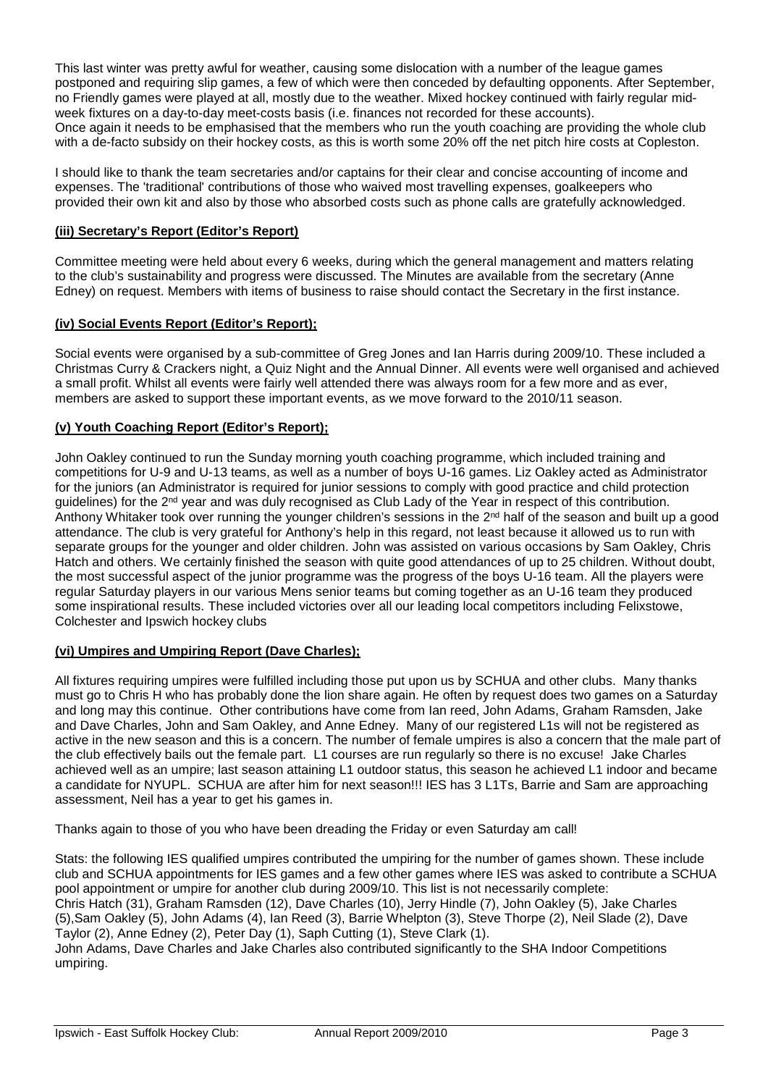This last winter was pretty awful for weather, causing some dislocation with a number of the league games postponed and requiring slip games, a few of which were then conceded by defaulting opponents. After September, no Friendly games were played at all, mostly due to the weather. Mixed hockey continued with fairly regular midweek fixtures on a day-to-day meet-costs basis (i.e. finances not recorded for these accounts). Once again it needs to be emphasised that the members who run the youth coaching are providing the whole club with a de-facto subsidy on their hockey costs, as this is worth some 20% off the net pitch hire costs at Copleston.

I should like to thank the team secretaries and/or captains for their clear and concise accounting of income and expenses. The 'traditional' contributions of those who waived most travelling expenses, goalkeepers who provided their own kit and also by those who absorbed costs such as phone calls are gratefully acknowledged.

### **(iii) Secretary's Report (Editor's Report)**

Committee meeting were held about every 6 weeks, during which the general management and matters relating to the club's sustainability and progress were discussed. The Minutes are available from the secretary (Anne Edney) on request. Members with items of business to raise should contact the Secretary in the first instance.

#### **(iv) Social Events Report (Editor's Report);**

Social events were organised by a sub-committee of Greg Jones and Ian Harris during 2009/10. These included a Christmas Curry & Crackers night, a Quiz Night and the Annual Dinner. All events were well organised and achieved a small profit. Whilst all events were fairly well attended there was always room for a few more and as ever, members are asked to support these important events, as we move forward to the 2010/11 season.

# **(v) Youth Coaching Report (Editor's Report);**

John Oakley continued to run the Sunday morning youth coaching programme, which included training and competitions for U-9 and U-13 teams, as well as a number of boys U-16 games. Liz Oakley acted as Administrator for the juniors (an Administrator is required for junior sessions to comply with good practice and child protection guidelines) for the 2<sup>nd</sup> year and was duly recognised as Club Lady of the Year in respect of this contribution. Anthony Whitaker took over running the younger children's sessions in the  $2<sup>nd</sup>$  half of the season and built up a good attendance. The club is very grateful for Anthony's help in this regard, not least because it allowed us to run with separate groups for the younger and older children. John was assisted on various occasions by Sam Oakley, Chris Hatch and others. We certainly finished the season with quite good attendances of up to 25 children. Without doubt, the most successful aspect of the junior programme was the progress of the boys U-16 team. All the players were regular Saturday players in our various Mens senior teams but coming together as an U-16 team they produced some inspirational results. These included victories over all our leading local competitors including Felixstowe, Colchester and Ipswich hockey clubs

#### **(vi) Umpires and Umpiring Report (Dave Charles);**

All fixtures requiring umpires were fulfilled including those put upon us by SCHUA and other clubs. Many thanks must go to Chris H who has probably done the lion share again. He often by request does two games on a Saturday and long may this continue. Other contributions have come from Ian reed, John Adams, Graham Ramsden, Jake and Dave Charles, John and Sam Oakley, and Anne Edney. Many of our registered L1s will not be registered as active in the new season and this is a concern. The number of female umpires is also a concern that the male part of the club effectively bails out the female part. L1 courses are run regularly so there is no excuse! Jake Charles achieved well as an umpire; last season attaining L1 outdoor status, this season he achieved L1 indoor and became a candidate for NYUPL. SCHUA are after him for next season!!! IES has 3 L1Ts, Barrie and Sam are approaching assessment, Neil has a year to get his games in.

Thanks again to those of you who have been dreading the Friday or even Saturday am call!

Stats: the following IES qualified umpires contributed the umpiring for the number of games shown. These include club and SCHUA appointments for IES games and a few other games where IES was asked to contribute a SCHUA pool appointment or umpire for another club during 2009/10. This list is not necessarily complete: Chris Hatch (31), Graham Ramsden (12), Dave Charles (10), Jerry Hindle (7), John Oakley (5), Jake Charles (5),Sam Oakley (5), John Adams (4), Ian Reed (3), Barrie Whelpton (3), Steve Thorpe (2), Neil Slade (2), Dave Taylor (2), Anne Edney (2), Peter Day (1), Saph Cutting (1), Steve Clark (1). John Adams, Dave Charles and Jake Charles also contributed significantly to the SHA Indoor Competitions umpiring.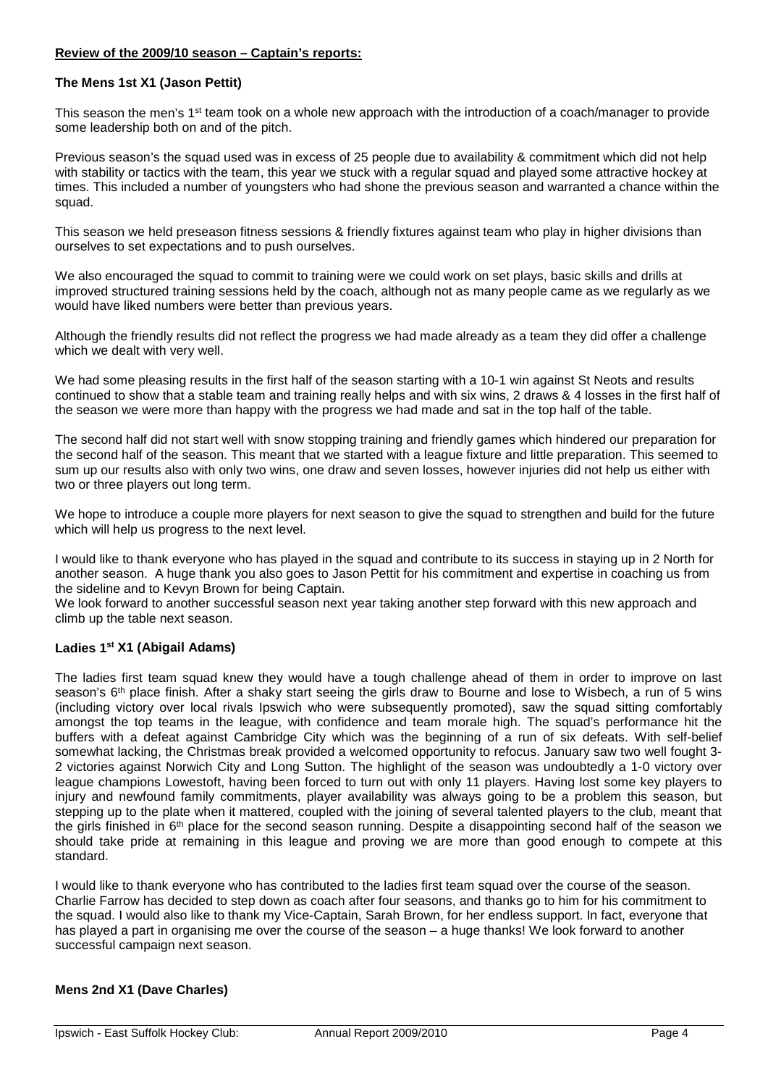### **Review of the 2009/10 season – Captain's reports:**

#### **The Mens 1st X1 (Jason Pettit)**

This season the men's 1<sup>st</sup> team took on a whole new approach with the introduction of a coach/manager to provide some leadership both on and of the pitch.

Previous season's the squad used was in excess of 25 people due to availability & commitment which did not help with stability or tactics with the team, this year we stuck with a regular squad and played some attractive hockey at times. This included a number of youngsters who had shone the previous season and warranted a chance within the squad.

This season we held preseason fitness sessions & friendly fixtures against team who play in higher divisions than ourselves to set expectations and to push ourselves.

We also encouraged the squad to commit to training were we could work on set plays, basic skills and drills at improved structured training sessions held by the coach, although not as many people came as we regularly as we would have liked numbers were better than previous years.

Although the friendly results did not reflect the progress we had made already as a team they did offer a challenge which we dealt with very well.

We had some pleasing results in the first half of the season starting with a 10-1 win against St Neots and results continued to show that a stable team and training really helps and with six wins, 2 draws & 4 losses in the first half of the season we were more than happy with the progress we had made and sat in the top half of the table.

The second half did not start well with snow stopping training and friendly games which hindered our preparation for the second half of the season. This meant that we started with a league fixture and little preparation. This seemed to sum up our results also with only two wins, one draw and seven losses, however injuries did not help us either with two or three players out long term.

We hope to introduce a couple more players for next season to give the squad to strengthen and build for the future which will help us progress to the next level.

I would like to thank everyone who has played in the squad and contribute to its success in staying up in 2 North for another season. A huge thank you also goes to Jason Pettit for his commitment and expertise in coaching us from the sideline and to Kevyn Brown for being Captain.

We look forward to another successful season next year taking another step forward with this new approach and climb up the table next season.

#### **Ladies 1st X1 (Abigail Adams)**

The ladies first team squad knew they would have a tough challenge ahead of them in order to improve on last season's 6<sup>th</sup> place finish. After a shaky start seeing the girls draw to Bourne and lose to Wisbech, a run of 5 wins (including victory over local rivals Ipswich who were subsequently promoted), saw the squad sitting comfortably amongst the top teams in the league, with confidence and team morale high. The squad's performance hit the buffers with a defeat against Cambridge City which was the beginning of a run of six defeats. With self-belief somewhat lacking, the Christmas break provided a welcomed opportunity to refocus. January saw two well fought 3- 2 victories against Norwich City and Long Sutton. The highlight of the season was undoubtedly a 1-0 victory over league champions Lowestoft, having been forced to turn out with only 11 players. Having lost some key players to injury and newfound family commitments, player availability was always going to be a problem this season, but stepping up to the plate when it mattered, coupled with the joining of several talented players to the club, meant that the girls finished in 6<sup>th</sup> place for the second season running. Despite a disappointing second half of the season we should take pride at remaining in this league and proving we are more than good enough to compete at this standard.

I would like to thank everyone who has contributed to the ladies first team squad over the course of the season. Charlie Farrow has decided to step down as coach after four seasons, and thanks go to him for his commitment to the squad. I would also like to thank my Vice-Captain, Sarah Brown, for her endless support. In fact, everyone that has played a part in organising me over the course of the season – a huge thanks! We look forward to another successful campaign next season.

#### **Mens 2nd X1 (Dave Charles)**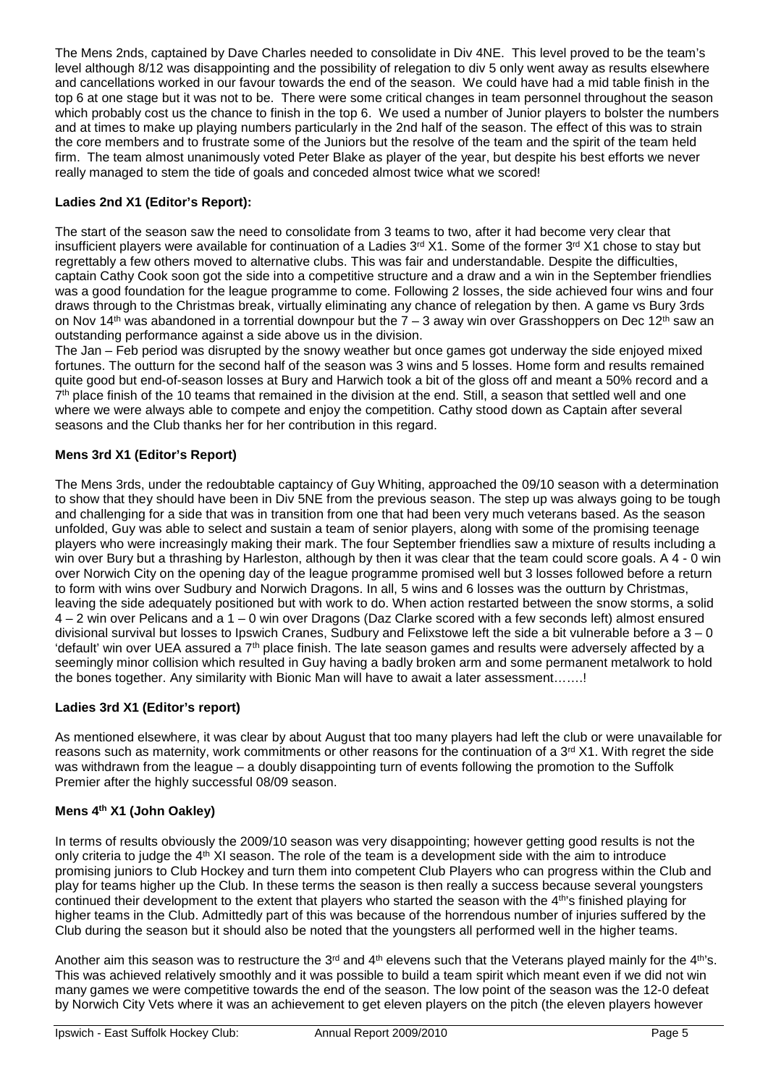The Mens 2nds, captained by Dave Charles needed to consolidate in Div 4NE. This level proved to be the team's level although 8/12 was disappointing and the possibility of relegation to div 5 only went away as results elsewhere and cancellations worked in our favour towards the end of the season. We could have had a mid table finish in the top 6 at one stage but it was not to be. There were some critical changes in team personnel throughout the season which probably cost us the chance to finish in the top 6. We used a number of Junior players to bolster the numbers and at times to make up playing numbers particularly in the 2nd half of the season. The effect of this was to strain the core members and to frustrate some of the Juniors but the resolve of the team and the spirit of the team held firm. The team almost unanimously voted Peter Blake as player of the year, but despite his best efforts we never really managed to stem the tide of goals and conceded almost twice what we scored!

# **Ladies 2nd X1 (Editor's Report):**

The start of the season saw the need to consolidate from 3 teams to two, after it had become very clear that insufficient players were available for continuation of a Ladies 3<sup>rd</sup> X1. Some of the former 3<sup>rd</sup> X1 chose to stay but regrettably a few others moved to alternative clubs. This was fair and understandable. Despite the difficulties, captain Cathy Cook soon got the side into a competitive structure and a draw and a win in the September friendlies was a good foundation for the league programme to come. Following 2 losses, the side achieved four wins and four draws through to the Christmas break, virtually eliminating any chance of relegation by then. A game vs Bury 3rds on Nov 14<sup>th</sup> was abandoned in a torrential downpour but the  $7 - 3$  away win over Grasshoppers on Dec 12<sup>th</sup> saw an outstanding performance against a side above us in the division.

The Jan – Feb period was disrupted by the snowy weather but once games got underway the side enjoyed mixed fortunes. The outturn for the second half of the season was 3 wins and 5 losses. Home form and results remained quite good but end-of-season losses at Bury and Harwich took a bit of the gloss off and meant a 50% record and a  $7<sup>th</sup>$  place finish of the 10 teams that remained in the division at the end. Still, a season that settled well and one where we were always able to compete and enjoy the competition. Cathy stood down as Captain after several seasons and the Club thanks her for her contribution in this regard.

# **Mens 3rd X1 (Editor's Report)**

The Mens 3rds, under the redoubtable captaincy of Guy Whiting, approached the 09/10 season with a determination to show that they should have been in Div 5NE from the previous season. The step up was always going to be tough and challenging for a side that was in transition from one that had been very much veterans based. As the season unfolded, Guy was able to select and sustain a team of senior players, along with some of the promising teenage players who were increasingly making their mark. The four September friendlies saw a mixture of results including a win over Bury but a thrashing by Harleston, although by then it was clear that the team could score goals. A 4 - 0 win over Norwich City on the opening day of the league programme promised well but 3 losses followed before a return to form with wins over Sudbury and Norwich Dragons. In all, 5 wins and 6 losses was the outturn by Christmas, leaving the side adequately positioned but with work to do. When action restarted between the snow storms, a solid 4 – 2 win over Pelicans and a 1 – 0 win over Dragons (Daz Clarke scored with a few seconds left) almost ensured divisional survival but losses to Ipswich Cranes, Sudbury and Felixstowe left the side a bit vulnerable before a  $3-0$ 'default' win over UEA assured a 7th place finish. The late season games and results were adversely affected by a seemingly minor collision which resulted in Guy having a badly broken arm and some permanent metalwork to hold the bones together. Any similarity with Bionic Man will have to await a later assessment…….!

#### **Ladies 3rd X1 (Editor's report)**

As mentioned elsewhere, it was clear by about August that too many players had left the club or were unavailable for reasons such as maternity, work commitments or other reasons for the continuation of a  $3<sup>rd</sup> X1$ . With regret the side was withdrawn from the league – a doubly disappointing turn of events following the promotion to the Suffolk Premier after the highly successful 08/09 season.

#### **Mens 4th X1 (John Oakley)**

In terms of results obviously the 2009/10 season was very disappointing; however getting good results is not the only criteria to judge the 4th XI season. The role of the team is a development side with the aim to introduce promising juniors to Club Hockey and turn them into competent Club Players who can progress within the Club and play for teams higher up the Club. In these terms the season is then really a success because several youngsters continued their development to the extent that players who started the season with the 4<sup>th'</sup>s finished playing for higher teams in the Club. Admittedly part of this was because of the horrendous number of injuries suffered by the Club during the season but it should also be noted that the youngsters all performed well in the higher teams.

Another aim this season was to restructure the 3<sup>rd</sup> and 4<sup>th</sup> elevens such that the Veterans played mainly for the 4<sup>th'</sup>s. This was achieved relatively smoothly and it was possible to build a team spirit which meant even if we did not win many games we were competitive towards the end of the season. The low point of the season was the 12-0 defeat by Norwich City Vets where it was an achievement to get eleven players on the pitch (the eleven players however